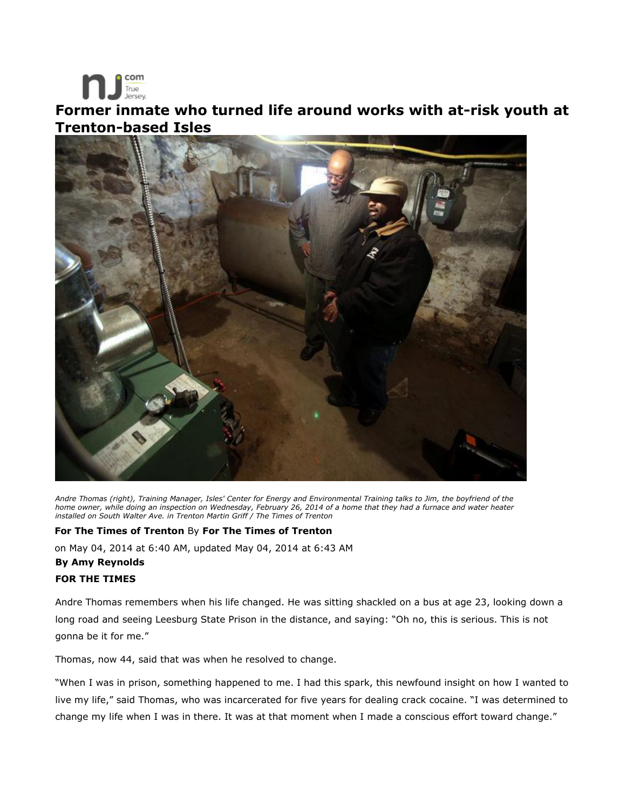

## **Former inmate who turned life around works with at-risk youth at Trenton-based Isles**



*Andre Thomas (right), Training Manager, Isles' Center for Energy and Environmental Training talks to Jim, the boyfriend of the home owner, while doing an inspection on Wednesday, February 26, 2014 of a home that they had a furnace and water heater installed on South Walter Ave. in Trenton Martin Griff / The Times of Trenton*

## **For The Times of Trenton** By **For The Times of Trenton**

on May 04, 2014 at 6:40 AM, updated May 04, 2014 at 6:43 AM **By Amy Reynolds** 

## **FOR THE TIMES**

Andre Thomas remembers when his life changed. He was sitting shackled on a bus at age 23, looking down a long road and seeing Leesburg State Prison in the distance, and saying: "Oh no, this is serious. This is not gonna be it for me."

Thomas, now 44, said that was when he resolved to change.

"When I was in prison, something happened to me. I had this spark, this newfound insight on how I wanted to live my life," said Thomas, who was incarcerated for five years for dealing crack cocaine. "I was determined to change my life when I was in there. It was at that moment when I made a conscious effort toward change."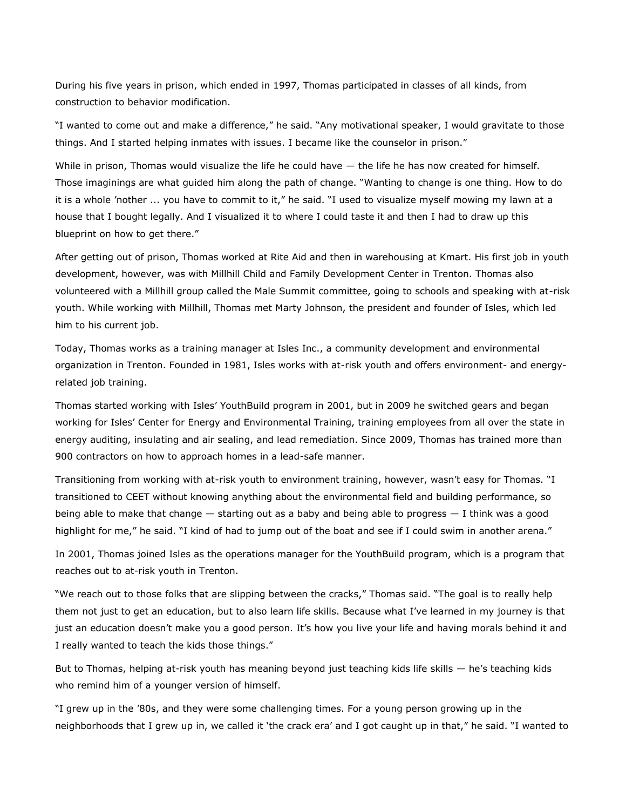During his five years in prison, which ended in 1997, Thomas participated in classes of all kinds, from construction to behavior modification.

"I wanted to come out and make a difference," he said. "Any motivational speaker, I would gravitate to those things. And I started helping inmates with issues. I became like the counselor in prison."

While in prison, Thomas would visualize the life he could have — the life he has now created for himself. Those imaginings are what guided him along the path of change. "Wanting to change is one thing. How to do it is a whole 'nother ... you have to commit to it," he said. "I used to visualize myself mowing my lawn at a house that I bought legally. And I visualized it to where I could taste it and then I had to draw up this blueprint on how to get there."

After getting out of prison, Thomas worked at Rite Aid and then in warehousing at Kmart. His first job in youth development, however, was with Millhill Child and Family Development Center in Trenton. Thomas also volunteered with a Millhill group called the Male Summit committee, going to schools and speaking with at-risk youth. While working with Millhill, Thomas met Marty Johnson, the president and founder of Isles, which led him to his current job.

Today, Thomas works as a training manager at Isles Inc., a community development and environmental organization in Trenton. Founded in 1981, Isles works with at-risk youth and offers environment- and energyrelated job training.

Thomas started working with Isles' YouthBuild program in 2001, but in 2009 he switched gears and began working for Isles' Center for Energy and Environmental Training, training employees from all over the state in energy auditing, insulating and air sealing, and lead remediation. Since 2009, Thomas has trained more than 900 contractors on how to approach homes in a lead-safe manner.

Transitioning from working with at-risk youth to environment training, however, wasn't easy for Thomas. "I transitioned to CEET without knowing anything about the environmental field and building performance, so being able to make that change — starting out as a baby and being able to progress — I think was a good highlight for me," he said. "I kind of had to jump out of the boat and see if I could swim in another arena."

In 2001, Thomas joined Isles as the operations manager for the YouthBuild program, which is a program that reaches out to at-risk youth in Trenton.

"We reach out to those folks that are slipping between the cracks," Thomas said. "The goal is to really help them not just to get an education, but to also learn life skills. Because what I've learned in my journey is that just an education doesn't make you a good person. It's how you live your life and having morals behind it and I really wanted to teach the kids those things."

But to Thomas, helping at-risk youth has meaning beyond just teaching kids life skills — he's teaching kids who remind him of a younger version of himself.

"I grew up in the '80s, and they were some challenging times. For a young person growing up in the neighborhoods that I grew up in, we called it 'the crack era' and I got caught up in that," he said. "I wanted to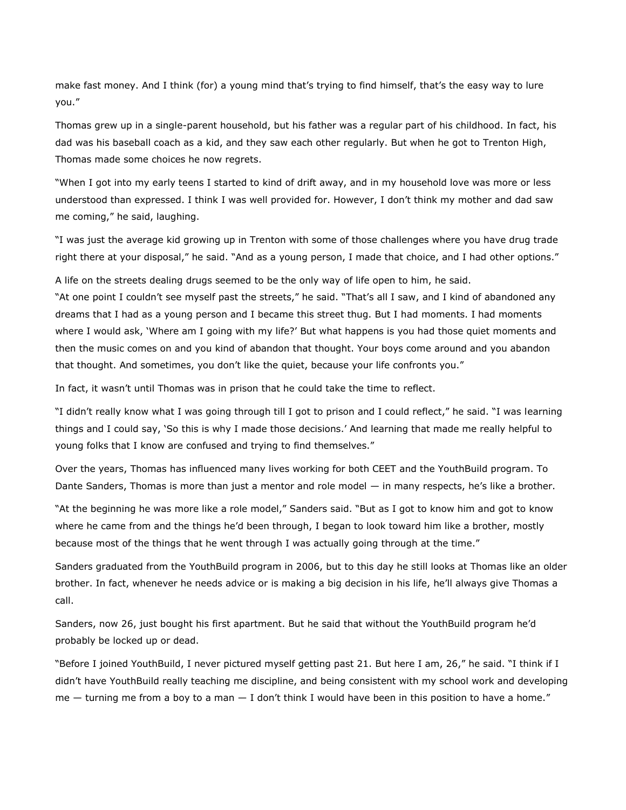make fast money. And I think (for) a young mind that's trying to find himself, that's the easy way to lure you."

Thomas grew up in a single-parent household, but his father was a regular part of his childhood. In fact, his dad was his baseball coach as a kid, and they saw each other regularly. But when he got to Trenton High, Thomas made some choices he now regrets.

"When I got into my early teens I started to kind of drift away, and in my household love was more or less understood than expressed. I think I was well provided for. However, I don't think my mother and dad saw me coming," he said, laughing.

"I was just the average kid growing up in Trenton with some of those challenges where you have drug trade right there at your disposal," he said. "And as a young person, I made that choice, and I had other options."

A life on the streets dealing drugs seemed to be the only way of life open to him, he said.

"At one point I couldn't see myself past the streets," he said. "That's all I saw, and I kind of abandoned any dreams that I had as a young person and I became this street thug. But I had moments. I had moments where I would ask, 'Where am I going with my life?' But what happens is you had those quiet moments and then the music comes on and you kind of abandon that thought. Your boys come around and you abandon that thought. And sometimes, you don't like the quiet, because your life confronts you."

In fact, it wasn't until Thomas was in prison that he could take the time to reflect.

"I didn't really know what I was going through till I got to prison and I could reflect," he said. "I was learning things and I could say, 'So this is why I made those decisions.' And learning that made me really helpful to young folks that I know are confused and trying to find themselves."

Over the years, Thomas has influenced many lives working for both CEET and the YouthBuild program. To Dante Sanders, Thomas is more than just a mentor and role model — in many respects, he's like a brother.

"At the beginning he was more like a role model," Sanders said. "But as I got to know him and got to know where he came from and the things he'd been through, I began to look toward him like a brother, mostly because most of the things that he went through I was actually going through at the time."

Sanders graduated from the YouthBuild program in 2006, but to this day he still looks at Thomas like an older brother. In fact, whenever he needs advice or is making a big decision in his life, he'll always give Thomas a call.

Sanders, now 26, just bought his first apartment. But he said that without the YouthBuild program he'd probably be locked up or dead.

"Before I joined YouthBuild, I never pictured myself getting past 21. But here I am, 26," he said. "I think if I didn't have YouthBuild really teaching me discipline, and being consistent with my school work and developing  $me -$  turning me from a boy to a man  $-$  I don't think I would have been in this position to have a home."